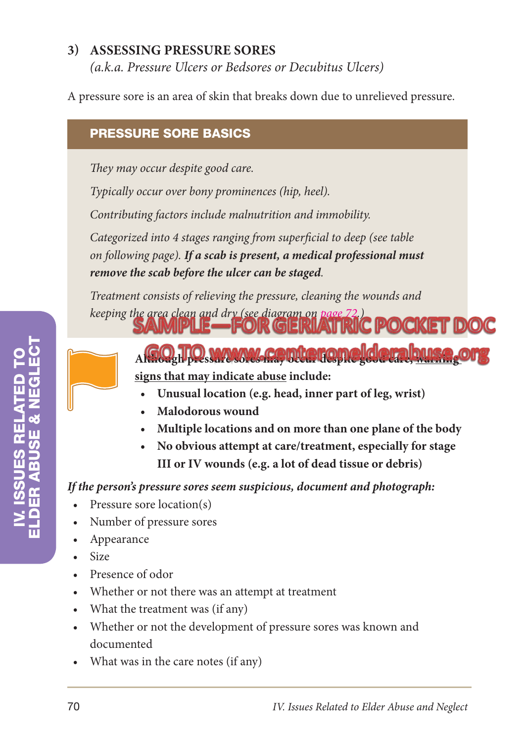## **3) Assessing Pressure Sores**

*(a.k.a. Pressure Ulcers or Bedsores or Decubitus Ulcers)*

A pressure sore is an area of skin that breaks down due to unrelieved pressure.

## Pressure sore basics

*They may occur despite good care.*

*Typically occur over bony prominences (hip, heel).*

*Contributing factors include malnutrition and immobility.*

*Categorized into 4 stages ranging from superficial to deep (see table on following page). If a scab is present, a medical professional must remove the scab before the ulcer can be staged.*

*Treatment consists of relieving the pressure, cleaning the wounds and* 

- **Although pressure sorte cap may occur a care in the source of the sorte good care in the source of the source of the society of the society of the society of the society of the society of the society of the society of the signs that may indicate abuse include:**
	- **Unusual location (e.g. head, inner part of leg, wrist)**

*keeping the area clean and dry (see diagram on page 72.)* **POCKET DOC** 

- **• Malodorous wound**
- **• Multiple locations and on more than one plane of the body**
- **• No obvious attempt at care/treatment, especially for stage III or IV wounds (e.g. a lot of dead tissue or debris)**

*If the person's pressure sores seem suspicious, document and photograph:*

- Pressure sore location(s)
- • Number of pressure sores
- • Appearance
- • Size
- • Presence of odor
- • Whether or not there was an attempt at treatment
- What the treatment was (if any)
- • Whether or not the development of pressure sores was known and documented
- What was in the care notes (if any)